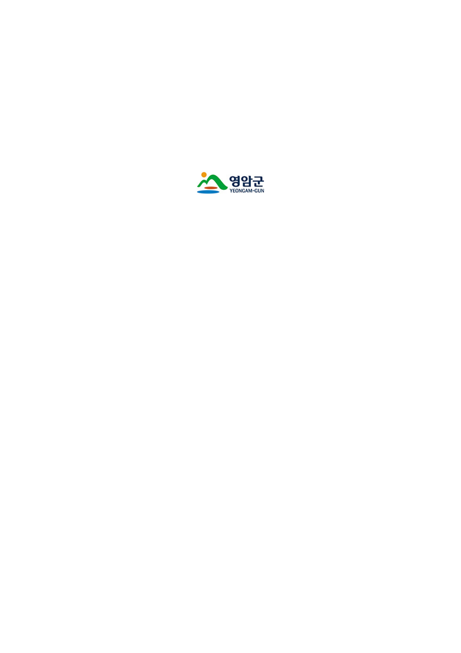